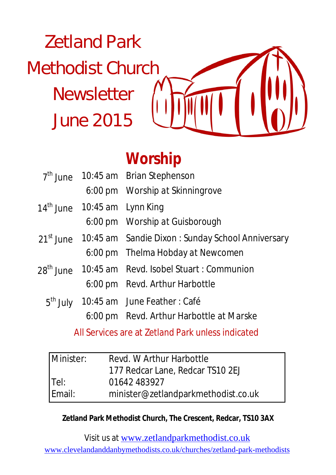# Zetland Park Methodist Church **Newsletter** June 2015



# **Worship**

|                                | $7th$ June 10:45 am Brian Stephenson                                    |  |
|--------------------------------|-------------------------------------------------------------------------|--|
|                                | 6:00 pm Worship at Skinningrove                                         |  |
| $14th$ June 10:45 am Lynn King |                                                                         |  |
|                                | 6:00 pm Worship at Guisborough                                          |  |
|                                | 21 <sup>st</sup> June 10:45 am Sandie Dixon : Sunday School Anniversary |  |
|                                | 6:00 pm Thelma Hobday at Newcomen                                       |  |
|                                | 28 <sup>th</sup> June 10:45 am Revd. Isobel Stuart : Communion          |  |
|                                | 6:00 pm Revd. Arthur Harbottle                                          |  |
|                                | 5 <sup>th</sup> July 10:45 am June Feather: Café                        |  |
|                                | 6:00 pm Revd. Arthur Harbottle at Marske                                |  |

All Services are at Zetland Park unless indicated

| Minister: | Revd. W Arthur Harbottle            |  |
|-----------|-------------------------------------|--|
|           | 177 Redcar Lane, Redcar TS10 2EJ    |  |
| Tel:      | 01642 483927                        |  |
| Email:    | minister@zetlandparkmethodist.co.uk |  |

#### **Zetland Park Methodist Church, The Crescent, Redcar, TS10 3AX**

Visit us at www.zetlandparkmethodist.co.uk www.clevelandanddanbymethodists.co.uk/churches/zetland-park-methodists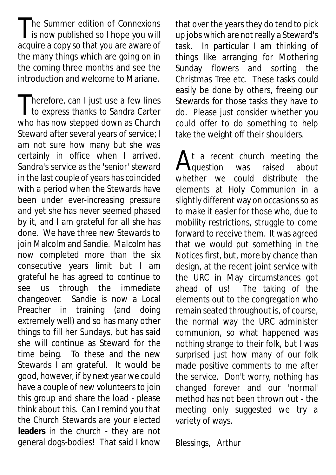The Summer edition of Connexions<br>is now published so I hope you will he Summer edition of Connexions acquire a copy so that you are aware of the many things which are going on in the coming three months and see the introduction and welcome to Mariane.

Therefore, can I just use a few lines<br>to express thanks to Sandra Carter  $\blacksquare$  herefore, can I just use a few lines who has now stepped down as Church Steward after several years of service; I am not sure how many but she was certainly in office when I arrived. Sandra's service as the 'senior' steward in the last couple of years has coincided with a period when the Stewards have been under ever-increasing pressure and yet she has never seemed phased by it, and I am grateful for all she has done. We have three new Stewards to join Malcolm and Sandie. Malcolm has now completed more than the six consecutive years limit but I am grateful he has agreed to continue to see us through the immediate changeover. Sandie is now a Local Preacher in training (and doing extremely well) and so has many other things to fill her Sundays, but has said she will continue as Steward for the time being. To these and the new Stewards I am grateful. It would be good, however, if by next year we could have a couple of new volunteers to join this group and share the load - please think about this. Can I remind you that the Church Stewards are your elected **leaders** in the church - they are not general dogs-bodies! That said I know

that over the years they do tend to pick up jobs which are not really a Steward's task. In particular I am thinking of things like arranging for Mothering Sunday flowers and sorting the Christmas Tree etc. These tasks could easily be done by others, freeing our Stewards for those tasks they have to do. Please just consider whether you could offer to do something to help take the weight off their shoulders.

 $A_{\text{question}}^{\text{t}}$  a recent church meeting the<br>unkather we sould distribute the  ${\bf A}$ t a recent church meeting the<br> ${\bf A}$ question was raised about whether we could distribute the elements at Holy Communion in a slightly different way on occasions so as to make it easier for those who, due to mobility restrictions, struggle to come forward to receive them. It was agreed that we would put something in the Notices first, but, more by chance than design, at the recent joint service with the URC in May circumstances got ahead of us! The taking of the elements out to the congregation who remain seated throughout is, of course, the normal way the URC administer communion, so what happened was nothing strange to their folk, but I was surprised just how many of our folk made positive comments to me after the service. Don't worry, nothing has changed forever and our 'normal' method has not been thrown out - the meeting only suggested we try a variety of ways.

Blessings, Arthur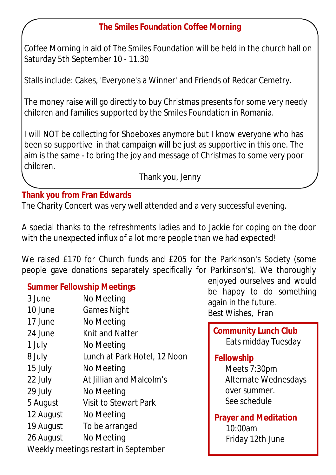# **The Smiles Foundation Coffee Morning**

Coffee Morning in aid of The Smiles Foundation will be held in the church hall on Saturday 5th September 10 - 11.30

Stalls include: Cakes, 'Everyone's a Winner' and Friends of Redcar Cemetry.

The money raise will go directly to buy Christmas presents for some very needy children and families supported by the Smiles Foundation in Romania.

I will NOT be collecting for Shoeboxes anymore but I know everyone who has been so supportive in that campaign will be just as supportive in this one. The aim is the same - to bring the joy and message of Christmas to some very poor children.

Thank you, Jenny

#### **Thank you from Fran Edwards**

The Charity Concert was very well attended and a very successful evening.

A special thanks to the refreshments ladies and to Jackie for coping on the door with the unexpected influx of a lot more people than we had expected!

We raised £170 for Church funds and £205 for the Parkinson's Society (some people gave donations separately specifically for Parkinson's). We thoroughly

#### **Summer Fellowship Meetings**

| 3 June                               | No Meeting                   |  |  |  |
|--------------------------------------|------------------------------|--|--|--|
| 10 June                              | <b>Games Night</b>           |  |  |  |
| 17 June                              | No Meeting                   |  |  |  |
| 24 June                              | Knit and Natter              |  |  |  |
| 1 July                               | No Meeting                   |  |  |  |
| 8 July                               | Lunch at Park Hotel, 12 Noon |  |  |  |
| 15 July                              | No Meeting                   |  |  |  |
| 22 July                              | At Jillian and Malcolm's     |  |  |  |
| 29 July                              | No Meeting                   |  |  |  |
| 5 August                             | Visit to Stewart Park        |  |  |  |
| 12 August                            | No Meeting                   |  |  |  |
| 19 August                            | To be arranged               |  |  |  |
| 26 August                            | No Meeting                   |  |  |  |
| Weekly meetings restart in September |                              |  |  |  |

enjoyed ourselves and would be happy to do something again in the future. Best Wishes, Fran

**Community Lunch Club** Eats midday Tuesday

#### **Fellowship**

Meets 7:30pm Alternate Wednesdays over summer. See schedule

**Prayer and Meditation**  10:00am Friday 12th June